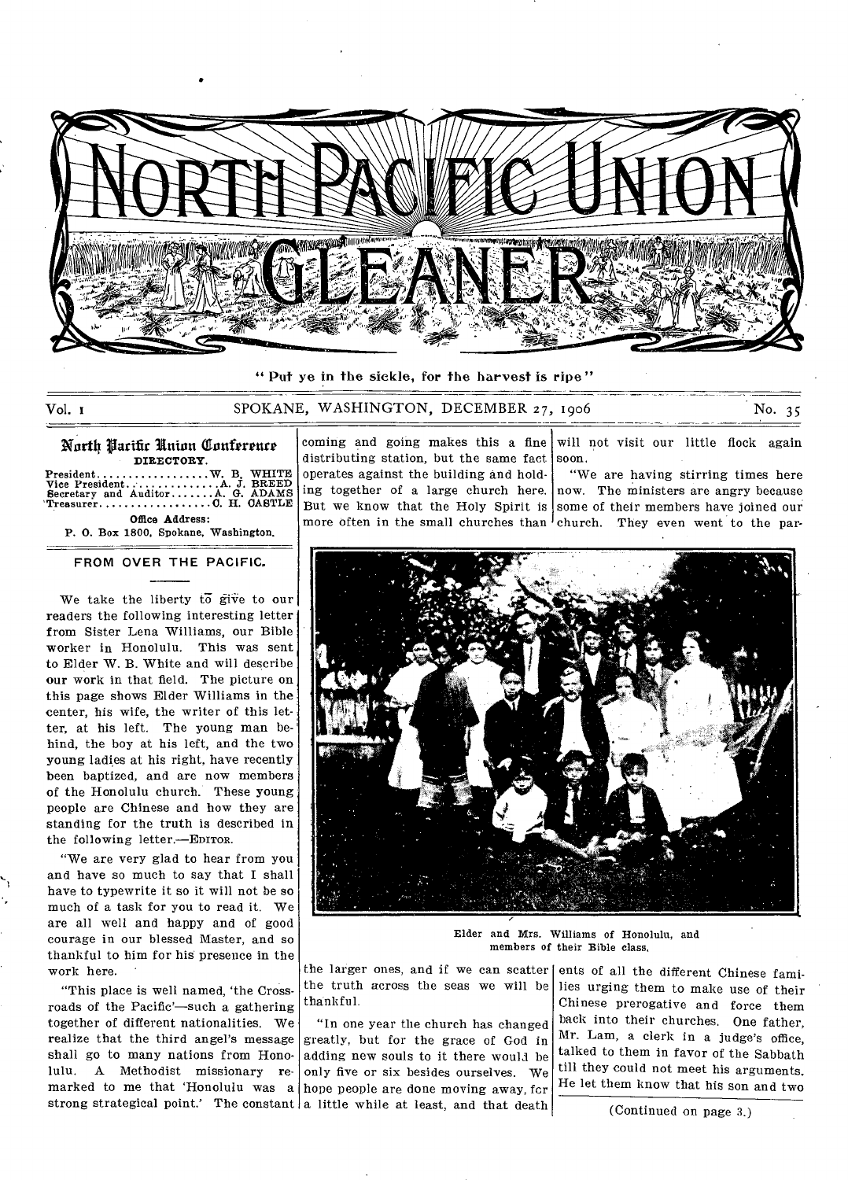

**" Put** ye in the sickle, for the harvest is ripe"

Vol. 1 SPOKANE, WASHINGTON, DECEMBER 27 1906 No. 35

North Parific Union Conference DIRECTORY. Vice President........<br>Secretary and Auditor<br>Treasurer............. Office Address: P. 0. Box 1800, Spokane, Washington. President W. B. WHITE A JBREED Aa ADAMS CH. CASTLE

**FROM OVER THE PACIFIC.** 

We take the liberty  $t\overline{o}$  give to our readers the following interesting letter from Sister Lena Williams, our Bible worker in Honolulu. This was sent to Elder W. B. White and will describe our work in that field. The picture on this page shows Elder Williams in the center, his wife, the writer of this letter, at his left. The young man behind, the boy at his left, and the two young ladies at his right, have recently been baptized, and are now members of the Honolulu church. These young people are Chinese and how they are standing for the truth is described in the following letter.—EDITOR.

"We are very glad to hear from you and have so much to say that I shall have to typewrite it so it will not be so much of a task for you to read it. We are all well and happy and of good courage in our blessed Master, and so thankful to him for his presence in the work here.

"This place is well named, 'the Crossroads of the Pacific'—such a gathering together of different nationalities. We realize that the third angel's message shall go to many nations from Honolulu. A Methodist missionary remarked to me that 'Honolulu was a

distributing station, but the same fact soon. operates against the building and holding together of a large church here. But we know that the Holy Spirit is some of their members have joined our more often in the small churches than <sup>l</sup>church. They even went to the par-

coming and going makes this a fine will not visit our little flock again

"We are having stirring times here now. The ministers are angry because



Elder and Mrs. Williams of Honolulu, and members of their Bible class,

the larger ones, and if we can scatter ents of all the different Chinese famithe truth across the seas we will be thankful.

strong strategical point.' The constant a little while at least, and that death "In one year the church has changed greatly, but for the grace of God in adding new souls to it there would be only five or six besides ourselves. We hope people are done moving away, fcr

lies urging them to make use of their Chinese prerogative and force them back into their churches. One father. Mr. Lam, a clerk in a judge's office, talked to them in favor of the Sabbath till they could not meet his arguments. He let them know that his son and two

(Continued on page 3.)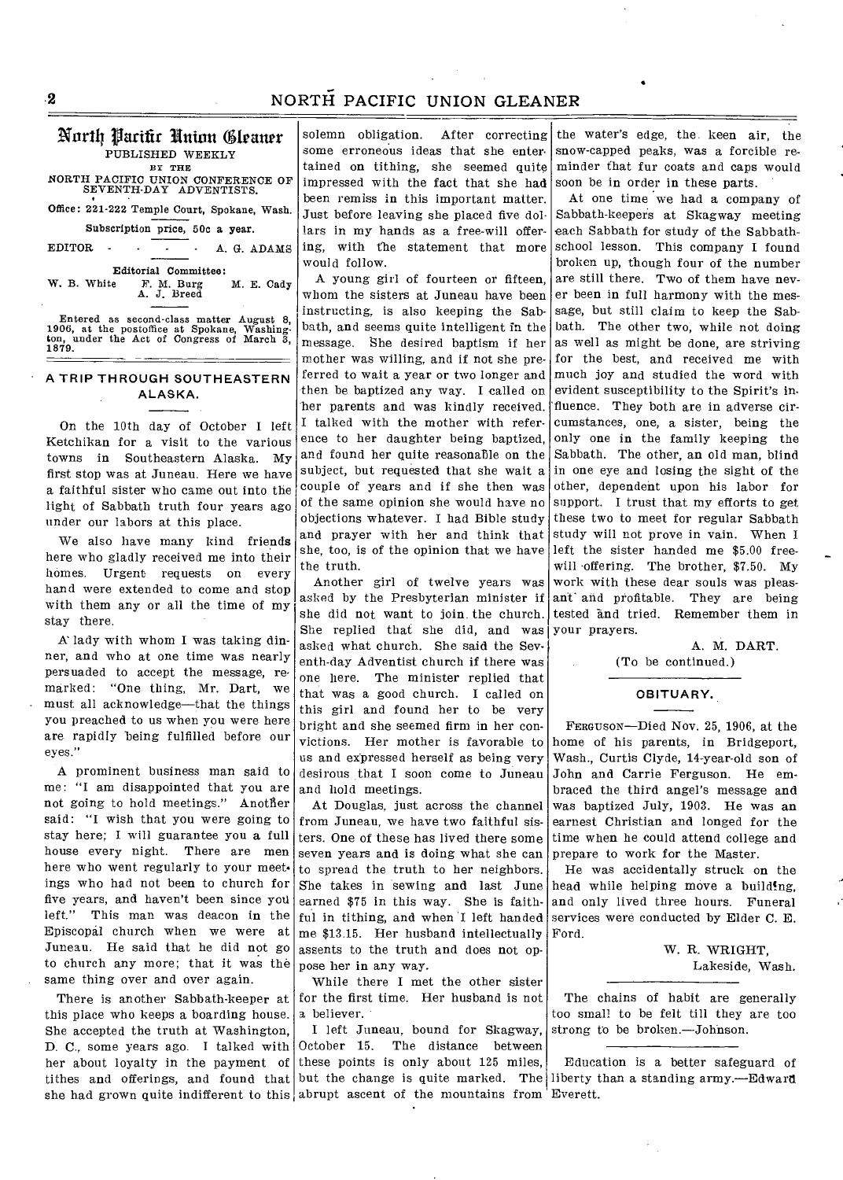# NORTH PACIFIC UNION GLEANER

#### Nortfl Parifir Union Gfrantr PUBLISHED WEEKLY BY THE

NORTH PACIFIC UNION CONFERENCE OF SEVENTH-DAY ADVENTISTS.

Office: 221-222 Temple Court, Spokane, Wash.

Subscription price, 50c a year.

EDITOR - . . A. G. ADAMS

Editorial Committee:<br>W. B. White F. M. Burg M. E. Cady W. B. White F. M. Burg M. E. Cady A. J. Breed

Entered as second-class matter August 8, 1906, at the postoffice at Spokane, Washing-ton, under the Act of Congress of March 3, 1879.

### **• A TRIP THROUGH SOUTHEASTERN ALASKA.**

On the 10th day of October I left Ketchikan for a visit to the various towns in Southeastern Alaska. My first stop was at Juneau. Here we have a faithful sister who came out into the light of Sabbath truth four years ago under our labors at this place.

We also have many kind friends here who gladly received me into their homes. Urgent requests on every hand were extended to come and stop with them any or all the time of my stay there.

A' lady with whom I was taking dinner, and who at one time was nearly persuaded to accept the message, remarked: "One thing, Mr. Dart, we must all acknowledge—that the things you preached to us when you were here are rapidly being fulfilled before our eyes."

A prominent business man said to me: "I am disappointed that you are not going to hold meetings." Another said: "I wish that you were going to stay here; I will guarantee you a full house every night. There are men here who went regularly to your meet. ings who had not been to church for five years, and haven't been since yoll left." This man was deacon in the Episcopal church when we were at Juneau. He said that he did not go to church any more; that it was the same thing over and over again.

There is another Sabbath-keeper at this place who keeps a boarding house. She accepted the truth at Washington, D. C., some years ago. I talked with her about loyalty in the payment of

solemn obligation. After correcting some erroneous ideas that she entertained on tithing, she seemed quite impressed with the fact that she had been remiss in this important matter. Just before leaving she placed five dollars in my hands as a free-will offering, with the statement that more would follow.

A young girl of fourteen or fifteen whom the sisters at Juneau have been instructing, is also keeping the Sabbath, and seems quite intelligent in the message. She desired baptism if her mother was willing, and if not she preferred to wait a year or two longer and then be baptized any way. I called on her parents and was kindly received. I talked with the mother with reference to her daughter being baptized, and found her quite reasonable on the subject, but requested that she wait a couple of years and if she then was of the same opinion she would have no objections whatever. I had Bible study and prayer with her and think that she, too, is of the opinion that we have the truth.

Another girl of twelve years was asked by the Presbyterian minister if she did not want to join the church. She replied that she did, and was asked what church. She said the Seventh-day Adventist church if there was one here. The minister replied that that was a good church. I called on this girl and found her to be very bright and she seemed firm in her convictions. Her mother is favorable to us and expressed herself as being very desirous that I soon come to Juneau and hold meetings.

At Douglas, just across the channel from Juneau, we have two faithful sisters. One of these has lived there some seven years and is doing what she can to spread the truth to her neighbors. She takes in sewing and last June earned \$75 in this way. She is faithful in tithing, and when I left handed me \$13.15. Her husband intellectually assents to the truth and does not oppose her in any way.

While there I met the other sister for the first time. Her husband is not a believer.

I left Juneau, bound for Skagway, October 15. The distance between these points is only about 125 miles, Education is a better safeguard of tithes and offerings, and found that but the change is quite marked. The liberty than a standing army.—Edward she had grown quite indifferent to this abrupt ascent of the mountains from Everett.

the water's edge, the keen air, the snow-capped peaks, was a forcible reminder that fur coats and caps would soon be in order in these parts.

At one time we had a company of Sabbath-keepers at Skagway meeting each Sabbath for study of the Sabbathschool lesson. This company I found broken up, though four of the number are still there. Two of them have never been in full harmony with the message, but still claim to keep the Sabbath. The other two, while not doing as well as might be done, are striving for the best, and received me with much joy and studied the word with evident susceptibility to the Spirit's influence. They both are in adverse circumstances, one, a sister, being the only one in the family keeping the Sabbath. The other, an old man, blind in one eye and losing the sight of the other, dependent upon his labor for support. I trust that my efforts to get these two to meet for regular Sabbath study will not prove in vain. When I left the sister handed me \$5.00 freewill 'offering. The brother, \$7.50. My work with these dear souls was pleasant' and profitable. They are being tested and tried. Remember them in your prayers.

> A. M. DART. (To be continued.)

#### **OBITUARY.**

FERGUSON—Died Nov. 25, 1906, at the home of his parents, in Bridgeport, Wash., Curtis Clyde, 14-year-old son of John and Carrie Ferguson. He embraced the third angel's message and was baptized July, 1903. He was an earnest Christian and longed for the time when he could attend college and prepare to work for the Master.

He was accidentally struck on the head while helping move a building, and only lived three hours. Funeral services were conducted by Elder C. E. Ford.

> W. R. WRIGHT, Lakeside, Wash.

The chains of habit are generally too small to be felt till they are too strong to be broken.—Johnson.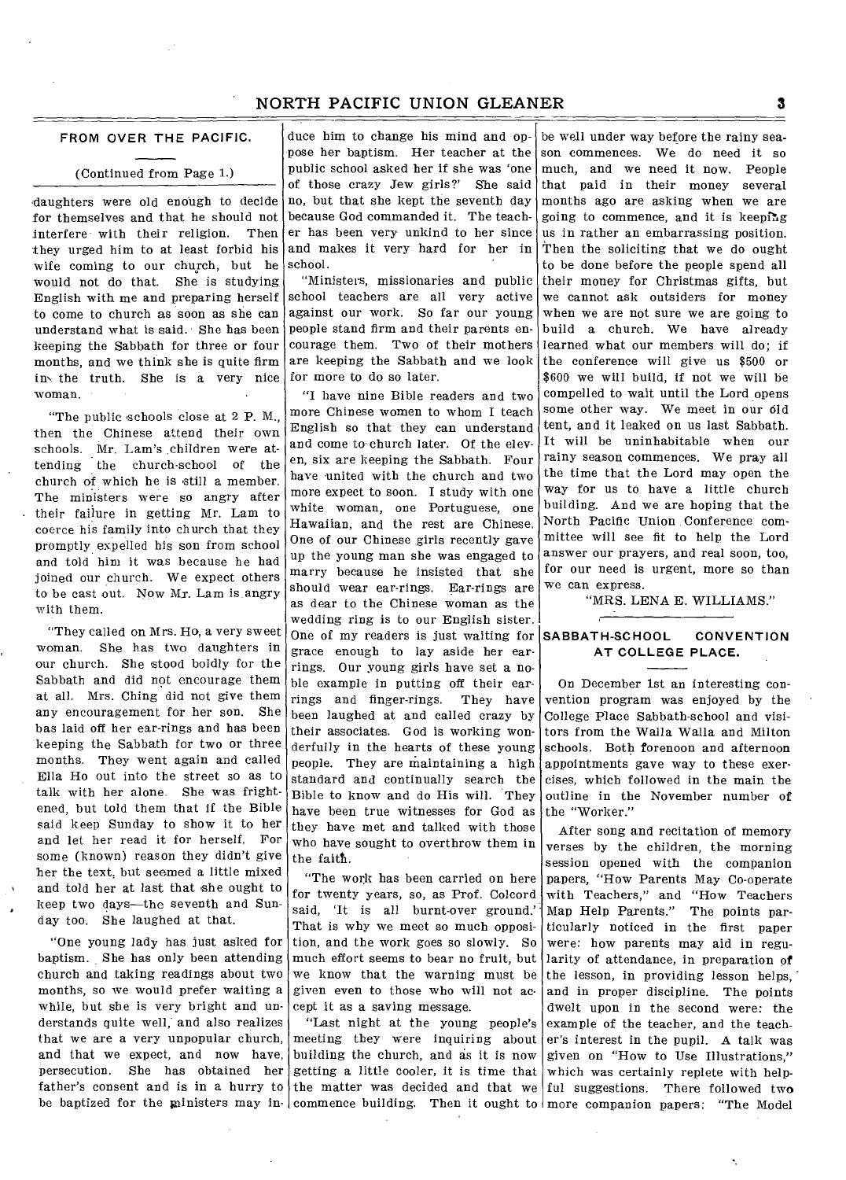## NORTH PACIFIC UNION GLEANER **3**

### **FROM OVER THE PACIFIC.**

#### (Continued from Page 1.)

daughters were old enough to decide for themselves and that he should not interfere with their religion. Then they urged him to at least forbid his wife coming to our church, but he would not do that. She is studying English with me and preparing herself to come to church as soon as she can understand what is said. • She has been keeping the Sabbath for three or four months, and we think she is quite firm in, the truth. She is a very nice woman.

"The public schools close at 2 P. M., then the Chinese attend their own schools. Mr. Lam's children were attending the church-school of the church of which he is still a member. The ministers were so angry after their failure in getting Mr. Lam to coerce his family into church that they promptly expelled his son from school and told him it was because he had joined our church. We expect others to be cast out. Now Mr. Lam is angry with them.

"They called on Mrs. Ho, a very sweet woman. She has two daughters in our church. She stood boldly for the Sabbath and did not encourage them at all. Mrs. Ching did not give them any encouragement for her son. She has laid off her ear-rings and has been keeping the Sabbath for two or three months. They went again and called Ella Ho out into the street so as to talk with her alone. She was frightened, but told them that if the Bible said keep Sunday to show it to her and let her read it for herself. For some (known) reason they didn't give her the text, but seemed a little mixed and told her at last that she ought to keep two days—the seventh and Sunday too. She laughed at that.

"One young lady has just asked for baptism. She has only been attending church and taking readings about two months, so we would prefer waiting a while, but sbe is very bright and understands quite well; and also realizes that we are a very unpopular church, and that we expect, and now have, persecution. She has obtained her father's consent and is in a hurry to

duce him to change his mind and oppose her baptism. Her teacher at the public school asked her if she was 'one of those crazy Jew girls?' *She* said no, but that she kept the seventh day because God commanded it. The teacher has been very unkind to her since and makes it very hard for her in school.

"Ministers, missionaries and public school teachers are all very active against our work. So far our young people stand firm and their parents encourage them. Two of their mothers are keeping the Sabbath and we look for more to do so later.

"I have nine Bible readers and two more Chinese women to whom I teach English so that they can understand and come to church later. Of the eleven, six are keeping the Sabbath. Four have united with the church and two more expect to soon. I study with one white woman, one Portuguese, one Hawaiian, and the rest are Chinese. One of our Chinese girls recently gave up the young man she was engaged to marry because he insisted that she should wear ear-rings. Ear-rings are as dear to the Chinese woman as the wedding ring is to our English sister. One of my readers is just waiting for grace enough to lay aside her earrings. Our young girls have set a noble example in putting off their earrings and finger-rings. They have been laughed at and called crazy by their associates. God is working wonderfully in the hearts of these young people. They are maintaining a high standard and continually search the Bible to know and do His will. They have been true witnesses for God as they have met and talked with those who have sought to overthrow them in the faith.

"The work has been carried on here for twenty years, so, as Prof. Colcord said, 'It is all burnt-over ground.' That is why we meet so much opposition, and the work goes so slowly. So much effort seems to bear no fruit, but we know that the warning must be given even to those who will not accept it as a saving message.

be baptized for the ministers may in- commence building. Then it ought to more companion papers: "The Model "Last night at the young people's meeting they were inquiring about building the church, and as it is now

be well under way before the rainy season commences. We do need it so much, and we need it now. People that paid in their money several months ago are asking when we are going to commence, and it is keeping us in rather an embarrassing position. Then the soliciting that we do ought to be done before the people spend all their money for Christmas gifts, but we cannot ask outsiders for money when we are not sure we are going to build a church. We have already learned what our members will do; if the conference will give us \$500 or \$600 we will build, if not we will be compelled to wait until the Lord opens some other way. We meet in our old tent, and it leaked on us last Sabbath. It will be uninhabitable when our rainy season commences. We pray all the time that the Lord may open the way for us to have a little church building. And we are hoping that the North Pacific Union Conference committee will see fit to help the Lord answer our prayers, and real soon, too, for our need is urgent, more so than we can express.

"MRS. LENA E. WILLIAMS."

### **SABBATH-SCHOOL CONVENTION AT COLLEGE PLACE.**

On December 1st an interesting convention program was enjoyed by the College Place Sabbath-school and visitors from the Walla Walla and Milton schools. Both forenoon and afternoon appointments gave way to these exercises, which followed in the main the outline in the November number of the "Worker."

getting a little cooler, it is time that which was certainly replete with helpthe matter was decided and that we ful suggestions. There followed two After song and recitation of memory verses by the children, the morning session opened with the companion papers, "How Parents May Co-operate with Teachers," and "How Teachers Map Help Parents." The points particularly noticed in the first paper were: how parents may aid in regularity of attendance, in preparation of the lesson, in providing lesson helps, and in proper discipline. The points dwelt upon in the second were: the example of the teacher, and the teacher's interest in the pupil. A talk was given on "How to Use Illustrations,"